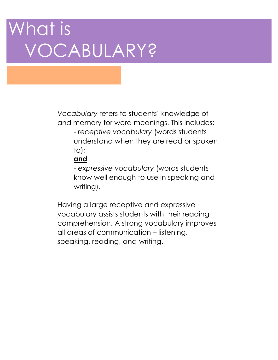# What is VOCABULARY?

*Vocabulary* refers to students' knowledge of and memory for word meanings. This includes: - *receptive vocabulary* (words students understand when they are read or spoken to);

### **and**

- *expressive vocabulary* (words students know well enough to use in speaking and writing).

Having a large receptive and expressive vocabulary assists students with their reading comprehension. A strong vocabulary improves all areas of communication – listening, speaking, reading, and writing.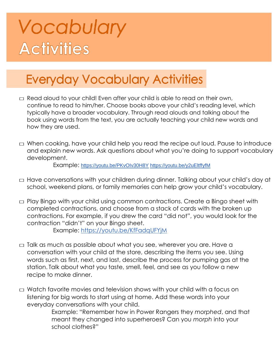## Vocabulary **Activities**

### **Everyday Vocabulary Activities**

- $\Box$  Read aloud to your child! Even after your child is able to read on their own, continue to read to him/her. Choose books above your child's reading level, which typically have a broader vocabulary. Through read alouds and talking about the book using words from the text, you are actually teaching your child new words and how they are used.
- $\Box$  When cooking, have your child help you read the recipe out loud. Pause to introduce and explain new words. Ask questions about what you're doing to support vocabulary development.

Example: <https://youtu.be/PKvOIv30H8Y> <https://youtu.be/y2uEltffyfM>

- □ Have conversations with your children during dinner. Talking about your child's day at school, weekend plans, or family memories can help grow your child's vocabulary.
- $\Box$  Play Bingo with your child using common contractions. Create a Bingo sheet with completed contractions, and choose from a stack of cards with the broken up contractions. For example, if you drew the card "did not", you would look for the contraction "didn't" on your Bingo sheet. Example:<https://youtu.be/KfFadqUFYjM>
- $\Box$  Talk as much as possible about what you see, wherever you are. Have a conversation with your child at the store, describing the items you see. Using words such as first, next, and last, describe the process for pumping gas at the station. Talk about what you taste, smell, feel, and see as you follow a new recipe to make dinner.
- $\Box$  Watch favorite movies and television shows with your child with a focus on listening for big words to start using at home. Add these words into your everyday conversations with your child.

Example: "Remember how in Power Rangers they *morphed*, and that meant they changed into superheroes? Can you *morph* into your school clothes?"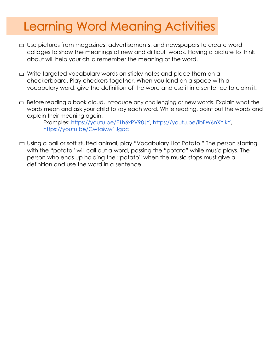### **Learning Word Meaning Activities**

- $\Box$  Use pictures from magazines, advertisements, and newspapers to create word collages to show the meanings of new and difficult words. Having a picture to think about will help your child remember the meaning of the word.
- $\Box$  Write targeted vocabulary words on sticky notes and place them on a checkerboard. Play checkers together. When you land on a space with a vocabulary word, give the definition of the word and use it in a sentence to claim it.
- $\Box$  Before reading a book aloud, introduce any challenging or new words. Explain what the words mean and ask your child to say each word. While reading, point out the words and explain their meaning again.

Examples: [https://youtu.be/F1h6xPV98JY,](https://youtu.be/F1h6xPV98JY) [https://youtu.be/ibFW6nXYlkY,](https://youtu.be/ibFW6nXYlkY) <https://youtu.be/CwtaMw1Jgoc>

□ Using a ball or soft stuffed animal, play "Vocabulary Hot Potato." The person starting with the "potato" will call out a word, passing the "potato" while music plays. The person who ends up holding the "potato" when the music stops must give a definition and use the word in a sentence.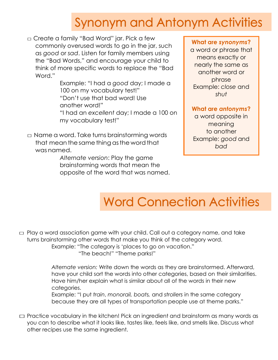### **Synonym and Antonym Activities**

□ Create a family "Bad Word" jar. Pick a few commonly overused words to go in the jar, such as *good* or *sad*. Listen for family members using the "Bad Words," and encourage your child to think of more specific words to replace the "Bad Word."

> Example: "I had a *good* day; I made a 100 on my vocabulary test!" "Don't use that bad word! Use another word!" "I had an *excellent* day; I made a 100 on my vocabulary test!"

 $\Box$  Name a word. Take turns brainstorming words that mean the same thing as the word that was named.

> *Alternate version*: Play the game brainstorming words that mean the opposite of the word that was named.

#### **What are** *synonyms***?**

a word or phrase that means exactly or nearly the same as another word or phrase Example: *close* and *shut*

#### **What are** *antonyms***?**

a word opposite in meaning to another Example: *good* and *bad*

## **Word Connection Activities**

 $\Box$  Play a word association game with your child. Call out a category name, and take turns brainstorming other words that make you think of the category word. Example: "The category is 'places to go on vacation."

"The beach!" "Theme parks!"

*Alternate version:* Write down the words as they are brainstormed. Afterward, have your child sort the words into other categories, based on their similarities. Have him/her explain what is similar about all of the words in their new categories.

Example: "I put *train*, *monorail, boats,* and *strollers* in the same category because they are all types of transportation people use at theme parks."

 $\square$  Practice vocabulary in the kitchen! Pick an ingredient and brainstorm as many words as you can to describe what it looks like, tastes like, feels like, and smells like. Discuss what other recipes use the same ingredient.